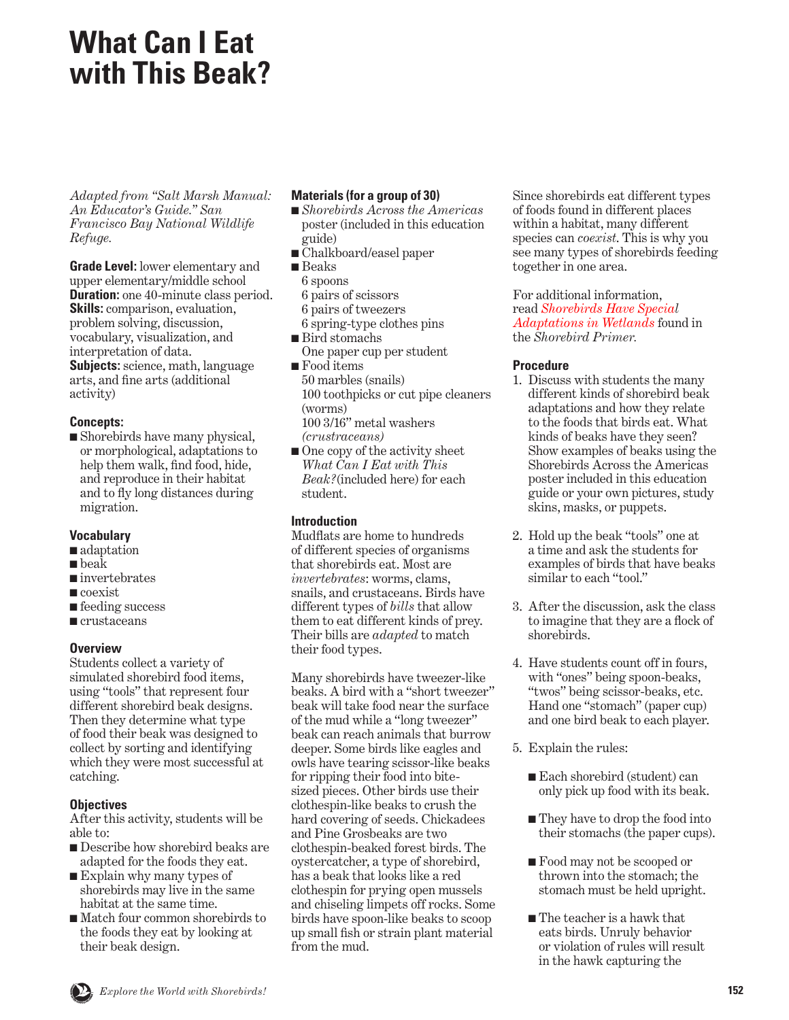# **What Can I Eat with This Beak?**

*Adapted from "Salt Marsh Manual: An Educator's Guide." San Francisco Bay National Wildlife Refuge.*

**Grade Level:** lower elementary and upper elementary/middle school **Duration:** one 40-minute class period. **Skills:** comparison, evaluation, problem solving, discussion, vocabulary, visualization, and interpretation of data. **Subjects:** science, math, language

arts, and fine arts (additional activity)

## **Concepts:**

■ Shorebirds have many physical, or morphological, adaptations to help them walk, find food, hide, and reproduce in their habitat and to fly long distances during migration.

#### **Vocabulary**

- adaptation
- beak
- invertebrates
- coexist
- feeding success
- crustaceans

# **Overview**

Students collect a variety of simulated shorebird food items, using "tools" that represent four different shorebird beak designs. Then they determine what type of food their beak was designed to collect by sorting and identifying which they were most successful at catching.

# **Objectives**

After this activity, students will be able to:

- Describe how shorebird beaks are adapted for the foods they eat.
- Explain why many types of shorebirds may live in the same habitat at the same time.
- Match four common shorebirds to the foods they eat by looking at their beak design.

## **Materials (for a group of 30)**

- *Shorebirds Across the Americas*  poster (included in this education guide)
- Chalkboard/easel paper
- Beaks
- 6 spoons
- 6 pairs of scissors
- 6 pairs of tweezers
- 6 spring-type clothes pins ■ Bird stomachs
- One paper cup per student ■ Food items
- 50 marbles (snails) 100 toothpicks or cut pipe cleaners (worms) 100 3/16" metal washers *(crustraceans)*
- One copy of the activity sheet *What Can I Eat with This Beak?*(included here) for each student.

# **Introduction**

Mudflats are home to hundreds of different species of organisms that shorebirds eat. Most are *invertebrates*: worms, clams, snails, and crustaceans. Birds have different types of *bills* that allow them to eat different kinds of prey. Their bills are *adapted* to match their food types.

Many shorebirds have tweezer-like beaks. A bird with a "short tweezer" beak will take food near the surface of the mud while a "long tweezer" beak can reach animals that burrow deeper. Some birds like eagles and owls have tearing scissor-like beaks for ripping their food into bitesized pieces. Other birds use their clothespin-like beaks to crush the hard covering of seeds. Chickadees and Pine Grosbeaks are two clothespin-beaked forest birds. The oystercatcher, a type of shorebird, has a beak that looks like a red clothespin for prying open mussels and chiseling limpets off rocks. Some birds have spoon-like beaks to scoop up small fish or strain plant material from the mud.

Since shorebirds eat different types of foods found in different places within a habitat, many different species can *coexist*. This is why you see many types of shorebirds feeding together in one area.

For additional information, read *Shorebirds Have Special [Adaptations in Wetlands](#page-11-0)* found in the *Shorebird Primer.*

## **Procedure**

- 1. Discuss with students the many different kinds of shorebird beak adaptations and how they relate to the foods that birds eat. What kinds of beaks have they seen? Show examples of beaks using the Shorebirds Across the Americas poster included in this education guide or your own pictures, study skins, masks, or puppets.
- 2. Hold up the beak "tools" one at a time and ask the students for examples of birds that have beaks similar to each "tool."
- 3. After the discussion, ask the class to imagine that they are a flock of shorebirds.
- 4. Have students count off in fours, with "ones" being spoon-beaks, "twos" being scissor-beaks, etc. Hand one "stomach" (paper cup) and one bird beak to each player.
- 5. Explain the rules:
	- Each shorebird (student) can only pick up food with its beak.
	- They have to drop the food into their stomachs (the paper cups).
	- Food may not be scooped or thrown into the stomach; the stomach must be held upright.
	- The teacher is a hawk that eats birds. Unruly behavior or violation of rules will result in the hawk capturing the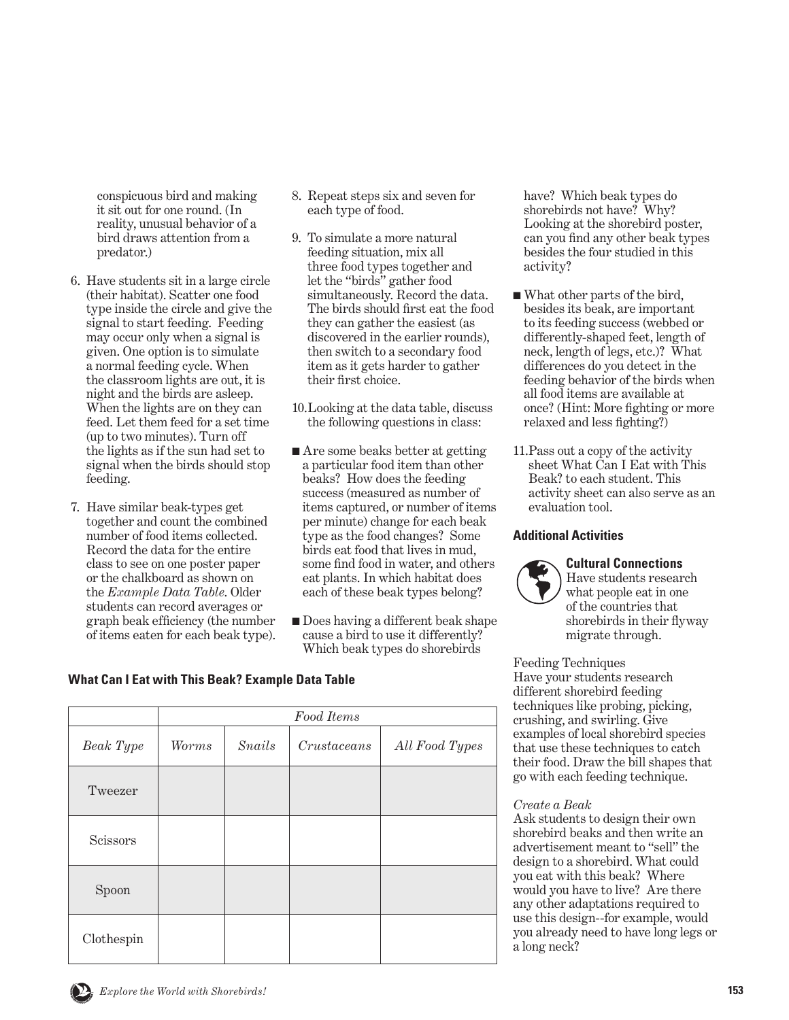conspicuous bird and making it sit out for one round. (In reality, unusual behavior of a bird draws attention from a predator.)

- 6. Have students sit in a large circle (their habitat). Scatter one food type inside the circle and give the signal to start feeding. Feeding may occur only when a signal is given. One option is to simulate a normal feeding cycle. When the classroom lights are out, it is night and the birds are asleep. When the lights are on they can feed. Let them feed for a set time (up to two minutes). Turn off the lights as if the sun had set to signal when the birds should stop feeding.
- 7. Have similar beak-types get together and count the combined number of food items collected. Record the data for the entire class to see on one poster paper or the chalkboard as shown on the *Example Data Table*. Older students can record averages or graph beak efficiency (the number of items eaten for each beak type).
- 8. Repeat steps six and seven for each type of food.
- 9. To simulate a more natural feeding situation, mix all three food types together and let the "birds" gather food simultaneously. Record the data. The birds should first eat the food they can gather the easiest (as discovered in the earlier rounds), then switch to a secondary food item as it gets harder to gather their first choice.
- 10. Looking at the data table, discuss the following questions in class:
- Are some beaks better at getting a particular food item than other beaks? How does the feeding success (measured as number of items captured, or number of items per minute) change for each beak type as the food changes? Some birds eat food that lives in mud, some find food in water, and others eat plants. In which habitat does each of these beak types belong?
- Does having a different beak shape cause a bird to use it differently? Which beak types do shorebirds

have? Which beak types do shorebirds not have? Why? Looking at the shorebird poster, can you find any other beak types besides the four studied in this activity?

- What other parts of the bird, besides its beak, are important to its feeding success (webbed or differently-shaped feet, length of neck, length of legs, etc.)? What differences do you detect in the feeding behavior of the birds when all food items are available at once? (Hint: More fighting or more relaxed and less fighting?)
- 11. Pass out a copy of the activity sheet What Can I Eat with This Beak? to each student. This activity sheet can also serve as an evaluation tool.

#### **Additional Activities**

#### **Cultural Connections**

Have students research what people eat in one of the countries that shorebirds in their flyway migrate through.

Feeding Techniques Have your students research different shorebird feeding techniques like probing, picking, crushing, and swirling. Give examples of local shorebird species that use these techniques to catch their food. Draw the bill shapes that go with each feeding technique.

#### *Create a Beak*

Ask students to design their own shorebird beaks and then write an advertisement meant to "sell" the design to a shorebird. What could you eat with this beak? Where would you have to live? Are there any other adaptations required to use this design--for example, would you already need to have long legs or a long neck?

# **What Can I Eat with This Beak? Example Data Table**

|            | Food Items |               |             |                |
|------------|------------|---------------|-------------|----------------|
| Beak Type  | Worms      | <b>Snails</b> | Crustaceans | All Food Types |
| Tweezer    |            |               |             |                |
| Scissors   |            |               |             |                |
| Spoon      |            |               |             |                |
| Clothespin |            |               |             |                |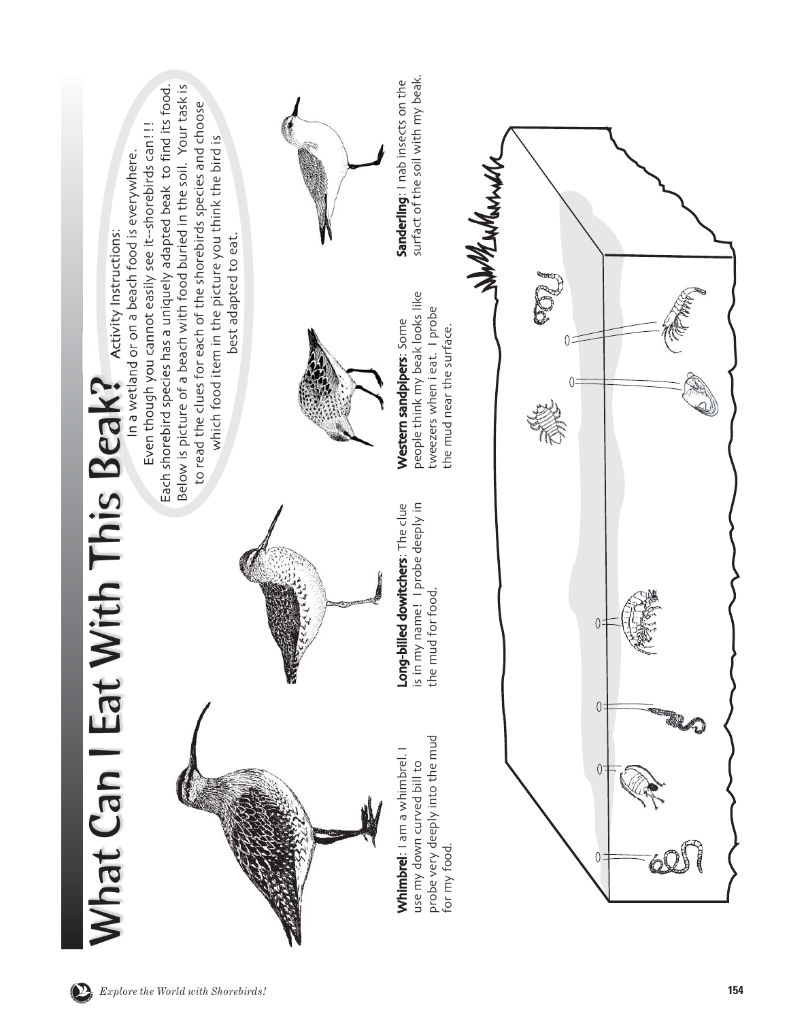

SHOREB<sup>S</sup><sup>I</sup>STE<sup>R</sup> <sup>S</sup>C<sup>H</sup>